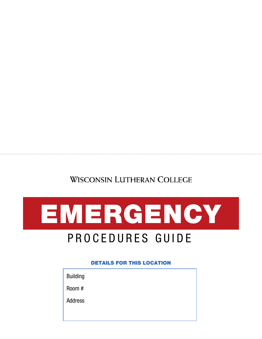## **WISCONSIN LUTHERAN COLLEGE**



# PROCEDURES GUIDE

DETAILS FOR THIS LOCATION

Building

Room #

Address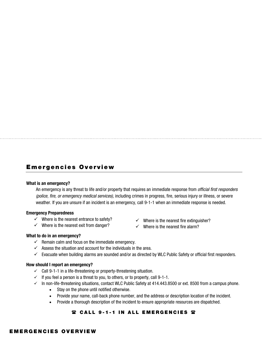### Emergencies Overview

#### What is an emergency?

An emergency is any threat to life and/or property that requires an immediate response from *official first responders (police, fire, or emergency medical services),* including crimes in progress, fire, serious injury or illness, or severe weather. If you are unsure if an incident is an emergency, call 9-1-1 when an immediate response is needed.

#### Emergency Preparedness

- $\checkmark$  Where is the nearest entrance to safety?
- $\checkmark$  Where is the nearest exit from danger?
- $\checkmark$  Where is the nearest fire extinguisher?
- $\checkmark$  Where is the nearest fire alarm?

#### What to do in an emergency?

- $\checkmark$  Remain calm and focus on the immediate emergency.
- $\checkmark$  Assess the situation and account for the individuals in the area.
- $\checkmark$  Evacuate when building alarms are sounded and/or as directed by WLC Public Safety or official first responders.

#### How should I report an emergency?

- $\checkmark$  Call 9-1-1 in a life-threatening or property-threatening situation.
- $\checkmark$  If you feel a person is a threat to you, to others, or to property, call 9-1-1.
- $\checkmark$  In non-life-threatening situations, contact WLC Public Safety at 414.443.8500 or ext. 8500 from a campus phone.
	- Stay on the phone until notified otherwise.
	- Provide your name, call-back phone number, and the address or description location of the incident.
	- Provide a thorough description of the incident to ensure appropriate resources are dispatched.

#### **雷 CALL 9-1-1 IN ALL EMERGENCIES 雷**

#### EMERGENCIES OVERVIEW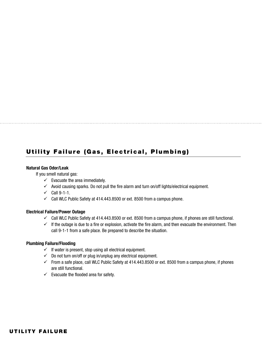### Utility Failure (Gas, Electrical, Plumbing)

#### Natural Gas Odor/Leak

If you smell natural gas:

- $\checkmark$  Evacuate the area immediately.
- $\checkmark$  Avoid causing sparks. Do not pull the fire alarm and turn on/off lights/electrical equipment.
- $\checkmark$  Call 9-1-1.
- $\checkmark$  Call WLC Public Safety at 414.443.8500 or ext. 8500 from a campus phone.

#### Electrical Failure/Power Outage

- $\checkmark$  Call WLC Public Safety at 414.443.8500 or ext. 8500 from a campus phone, if phones are still functional.
- $\checkmark$  If the outage is due to a fire or explosion, activate the fire alarm, and then evacuate the environment. Then call 9-1-1 from a safe place. Be prepared to describe the situation.

#### Plumbing Failure/Flooding

- $\checkmark$  If water is present, stop using all electrical equipment.
- $\checkmark$  Do not turn on/off or plug in/unplug any electrical equipment.
- $\checkmark$  From a safe place, call WLC Public Safety at 414.443.8500 or ext. 8500 from a campus phone, if phones are still functional.
- $\checkmark$  Evacuate the flooded area for safety.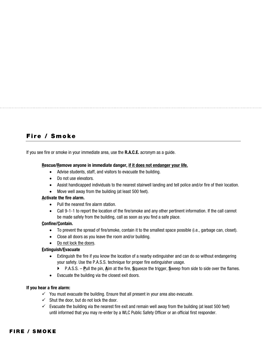### Fire / Smoke

If you see fire or smoke in your immediate area, use the R.A.C.E. acronym as a guide.

#### Rescue/Remove anyone in immediate danger, if it does not endanger your life.

- Advise students, staff, and visitors to evacuate the building.
- Do not use elevators.
- Assist handicapped individuals to the nearest stairwell landing and tell police and/or fire of their location.
- Move well away from the building (at least 500 feet).

#### Activate the fire alarm.

- Pull the nearest fire alarm station.
- Call 9-1-1 to report the location of the fire/smoke and any other pertinent information. If the call cannot be made safely from the building, call as soon as you find a safe place.

#### Confine/Contain.

- To prevent the spread of fire/smoke, contain it to the smallest space possible (i.e., garbage can, closet).
- Close all doors as you leave the room and/or building.
- Do not lock the doors.

#### Extinguish/Evacuate

- Extinguish the fire if you know the location of a nearby extinguisher and can do so without endangering your safety. Use the P.A.S.S. technique for proper fire extinguisher usage.
	- ▶ P.A.S.S. Pull the pin, Aim at the fire, Squeeze the trigger, Sweep from side to side over the flames.
- Evacuate the building via the closest exit doors.

#### If you hear a fire alarm:

- $\checkmark$  You must evacuate the building. Ensure that all present in your area also evacuate.
- $\checkmark$  Shut the door, but do not lock the door.
- $\checkmark$  Evacuate the building via the nearest fire exit and remain well away from the building (at least 500 feet) until informed that you may re-enter by a WLC Public Safety Officer or an official first responder.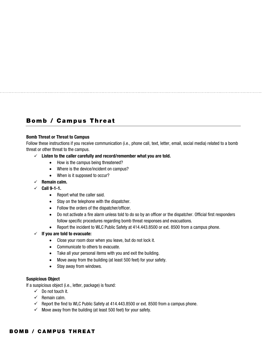### Bomb / Campus Threat

#### Bomb Threat or Threat to Campus

Follow these instructions if you receive communication (i.e., phone call, text, letter, email, social media) related to a bomb threat or other threat to the campus.

- $\checkmark$  Listen to the caller carefully and record/remember what you are told.
	- How is the campus being threatened?
	- Where is the device/incident on campus?
	- When is it supposed to occur?
- $\checkmark$  Remain calm.
- $\checkmark$  Call 9-1-1.
	- Report what the caller said.
	- Stay on the telephone with the dispatcher.
	- Follow the orders of the dispatcher/officer.
	- Do not activate a fire alarm unless told to do so by an officer or the dispatcher. Official first responders follow specific procedures regarding bomb threat responses and evacuations.
	- Report the incident to WLC Public Safety at 414.443.8500 or ext. 8500 from a campus phone.
- $\checkmark$  If you are told to evacuate:
	- Close your room door when you leave, but do not lock it.
	- Communicate to others to evacuate.
	- Take all your personal items with you and exit the building.
	- Move away from the building (at least 500 feet) for your safety.
	- Stay away from windows.

#### Suspicious Object

If a suspicious object (i.e., letter, package) is found:

- $\checkmark$  Do not touch it.
- $\checkmark$  Remain calm.
- $\checkmark$  Report the find to WLC Public Safety at 414.443.8500 or ext. 8500 from a campus phone.
- $\checkmark$  Move away from the building (at least 500 feet) for your safety.

#### BOMB / CAMPUS THREAT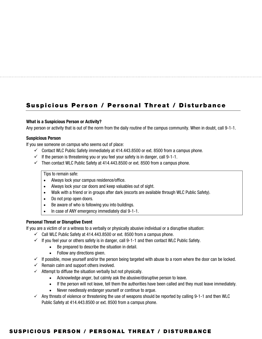### Suspicious Person / Personal Threat / Disturbance

#### What is a Suspicious Person or Activity?

Any person or activity that is out of the norm from the daily routine of the campus community. When in doubt, call 9-1-1.

#### Suspicious Person

If you see someone on campus who seems out of place:

- $\checkmark$  Contact WLC Public Safety immediately at 414.443.8500 or ext. 8500 from a campus phone.
- $\checkmark$  If the person is threatening you or you feel your safety is in danger, call 9-1-1.
- $\checkmark$  Then contact WLC Public Safety at 414.443.8500 or ext. 8500 from a campus phone.

Tips to remain safe:

- Always lock your campus residence/office.
- Always lock your car doors and keep valuables out of sight.
- Walk with a friend or in groups after dark (escorts are available through WLC Public Safety).
- Do not prop open doors.
- Be aware of who is following you into buildings.
- In case of ANY emergency immediately dial 9-1-1.

#### Personal Threat or Disruptive Event

If you are a victim of or a witness to a verbally or physically abusive individual or a disruptive situation:

- $\checkmark$  Call WLC Public Safety at 414.443.8500 or ext. 8500 from a campus phone.
- $\checkmark$  If you feel your or others safety is in danger, call 9-1-1 and then contact WLC Public Safety.
	- Be prepared to describe the situation in detail.
	- Follow any directions given.
- $\checkmark$  If possible, move yourself and/or the person being targeted with abuse to a room where the door can be locked.
- $\checkmark$  Remain calm and support others involved.
- $\checkmark$  Attempt to diffuse the situation verbally but not physically.
	- Acknowledge anger, but calmly ask the abusive/disruptive person to leave.
	- If the person will not leave, tell them the authorities have been called and they must leave immediately.
	- Never needlessly endanger yourself or continue to argue.
- $\checkmark$  Any threats of violence or threatening the use of weapons should be reported by calling 9-1-1 and then WLC Public Safety at 414.443.8500 or ext. 8500 from a campus phone.

#### SUSPICIOUS PERSON / PERSONAL THREAT / DISTURBANCE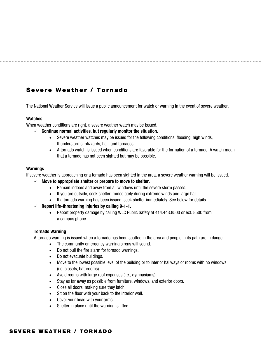### Severe Weather / Tornado

The National Weather Service will issue a public announcement for watch or warning in the event of severe weather.

#### Watches

When weather conditions are right, a severe weather watch may be issued.

- $\checkmark$  Continue normal activities, but regularly monitor the situation.
	- Severe weather watches may be issued for the following conditions: flooding, high winds, thunderstorms, blizzards, hail, and tornados.
	- A tornado watch is issued when conditions are favorable for the formation of a tornado. A watch mean that a tornado has not been sighted but may be possible.

#### Warnings

If severe weather is approaching or a tornado has been sighted in the area, a severe weather warning will be issued.

- $\checkmark$  Move to appropriate shelter or prepare to move to shelter.
	- Remain indoors and away from all windows until the severe storm passes.
	- If you are outside, seek shelter immediately during extreme winds and large hail.
	- If a tornado warning has been issued, seek shelter immediately. See below for details.
- $\checkmark$  Report life-threatening injuries by calling 9-1-1.
	- Report property damage by calling WLC Public Safety at 414.443.8500 or ext. 8500 from a campus phone.

#### Tornado Warning

A tornado warning is issued when a tornado has been spotted in the area and people in its path are in danger.

- The community emergency warning sirens will sound.
- Do not pull the fire alarm for tornado warnings.
- Do not evacuate buildings.
- Move to the lowest possible level of the building or to interior hallways or rooms with no windows (i.e. closets, bathrooms).
- Avoid rooms with large roof expanses (i.e., gymnasiums)
- Stay as far away as possible from furniture, windows, and exterior doors.
- Close all doors, making sure they latch.
- Sit on the floor with your back to the interior wall.
- Cover your head with your arms.
- Shelter in place until the warning is lifted.

#### SEVERE WEATHER / TORNADO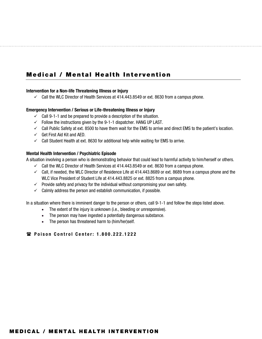### Medical / Mental Health Intervention

#### Intervention for a Non-life Threatening Illness or Injury

 $\checkmark$  Call the WLC Director of Health Services at 414.443.8549 or ext. 8630 from a campus phone.

#### Emergency Intervention / Serious or Life-threatening Illness or Injury

- $\checkmark$  Call 9-1-1 and be prepared to provide a description of the situation.
- $\checkmark$  Follow the instructions given by the 9-1-1 dispatcher. HANG UP LAST.
- $\checkmark$  Call Public Safety at ext. 8500 to have them wait for the EMS to arrive and direct EMS to the patient's location.
- $\checkmark$  Get First Aid Kit and AED.
- $\checkmark$  Call Student Health at ext. 8630 for additional help while waiting for EMS to arrive.

#### Mental Health Intervention / Psychiatric Episode

A situation involving a person who is demonstrating behavior that could lead to harmful activity to him/herself or others.

- $\checkmark$  Call the WLC Director of Health Services at 414.443.8549 or ext. 8630 from a campus phone.
- $\checkmark$  Call, if needed, the WLC Director of Residence Life at 414.443.8689 or ext. 8689 from a campus phone and the WLC Vice President of Student Life at 414.443.8825 or ext. 8825 from a campus phone.
- $\checkmark$  Provide safety and privacy for the individual without compromising your own safety.
- $\checkmark$  Calmly address the person and establish communication, if possible.

In a situation where there is imminent danger to the person or others, call 9-1-1 and follow the steps listed above.

- The extent of the injury is unknown (i.e., bleeding or unresponsive).
- The person may have ingested a potentially dangerous substance.
- The person has threatened harm to (him/her)self.

#### **■ Poison Control Center: 1.800.222.1222**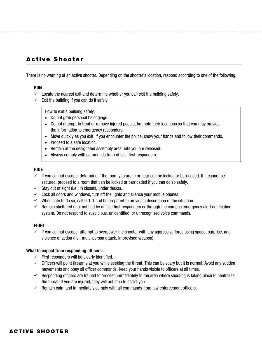### Active Shooter

There is no warning of an active shooter. Depending on the shooter's location, respond according to one of the following.

#### RUN

- $\checkmark$  Locate the nearest exit and determine whether you can exit the building safely.
- $\checkmark$  Exit the building if you can do it safely.

#### How to exit a building safely:

- Do not grab personal belongings.
- Do not attempt to treat or remove injured people, but note their locations so that you may provide the information to emergency responders.
- Move quickly as you exit. If you encounter the police, show your hands and follow their commands.
- Proceed to a safe location.
- Remain at the designated assembly area until you are released.
- Always comply with commands from official first responders.

#### HIDE

- $\checkmark$  If you cannot escape, determine if the room you are in or near can be locked or barricaded. If it cannot be secured, proceed to a room that can be locked or barricaded if you can do so safely.
- $\checkmark$  Stay out of sight (i.e., in closets, under desks).
- $\checkmark$  Lock all doors and windows, turn off the lights and silence your mobile phones.
- $\checkmark$  When safe to do so, call 9-1-1 and be prepared to provide a description of the situation.
- $\checkmark$  Remain sheltered until notified by official first responders or through the campus emergency alert notification system. Do not respond to suspicious, unidentified, or unrecognized voice commands.

#### FIGHT

 $\checkmark$  If you cannot escape, attempt to overpower the shooter with any aggressive force using speed, surprise, and violence of action (i.e., multi-person attack, improvised weapon).

#### What to expect from responding officers:

- $\checkmark$  First responders will be clearly identified.
- $\checkmark$  Officers will point firearms at you while seeking the threat. This can be scary but it is normal. Avoid any sudden movements and obey all officer commands. Keep your hands visible to officers at all times.
- $\checkmark$  Responding officers are trained to proceed immediately to the area where shooting is taking place to neutralize the threat. If you are injured, they will not stop to assist you.
- $\checkmark$  Remain calm and immediately comply with all commands from law enforcement officers.

#### ACTIVE SHOOTER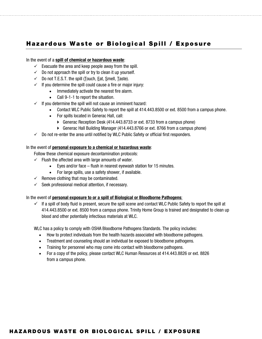### Hazardous Waste or Biological Spill / Exposure

In the event of a spill of chemical or hazardous waste:

- $\checkmark$  Evacuate the area and keep people away from the spill.
- $\checkmark$  Do not approach the spill or try to clean it up yourself.
- $\checkmark$  Do not T.E.S.T. the spill (Touch, Eat, Smell, Taste).
- $\checkmark$  If you determine the spill could cause a fire or major injury:
	- Immediately activate the nearest fire alarm.
	- Call 9-1-1 to report the situation.
- $\checkmark$  If you determine the spill will not cause an imminent hazard:
	- Contact WLC Public Safety to report the spill at 414.443.8500 or ext. 8500 from a campus phone.
	- For spills located in Generac Hall, call:
		- Generac Reception Desk (414.443.8733 or ext. 8733 from a campus phone)
		- Generac Hall Building Manager (414.443.8766 or ext. 8766 from a campus phone)
- $\checkmark$  Do not re-enter the area until notified by WLC Public Safety or official first responders.

#### In the event of personal exposure to a chemical or hazardous waste:

Follow these chemical exposure decontamination protocols:

- $\checkmark$  Flush the affected area with large amounts of water.
	- Eyes and/or face flush in nearest eyewash station for 15 minutes.
	- For large spills, use a safety shower, if available.
- $\checkmark$  Remove clothing that may be contaminated.
- $\checkmark$  Seek professional medical attention, if necessary.

#### In the event of **personal exposure to or a spill of Biological or Bloodborne Pathogens:**

 $\checkmark$  If a spill of body fluid is present, secure the spill scene and contact WLC Public Safety to report the spill at 414.443.8500 or ext. 8500 from a campus phone. Trinity Home Group is trained and designated to clean up blood and other potentially infectious materials at WLC.

WLC has a policy to comply with OSHA Bloodborne Pathogens Standards. The policy includes:

- How to protect individuals from the health hazards associated with bloodborne pathogens.
- Treatment and counseling should an individual be exposed to bloodborne pathogens.
- Training for personnel who may come into contact with bloodborne pathogens.
- For a copy of the policy, please contact WLC Human Resources at 414.443.8826 or ext. 8826 from a campus phone.